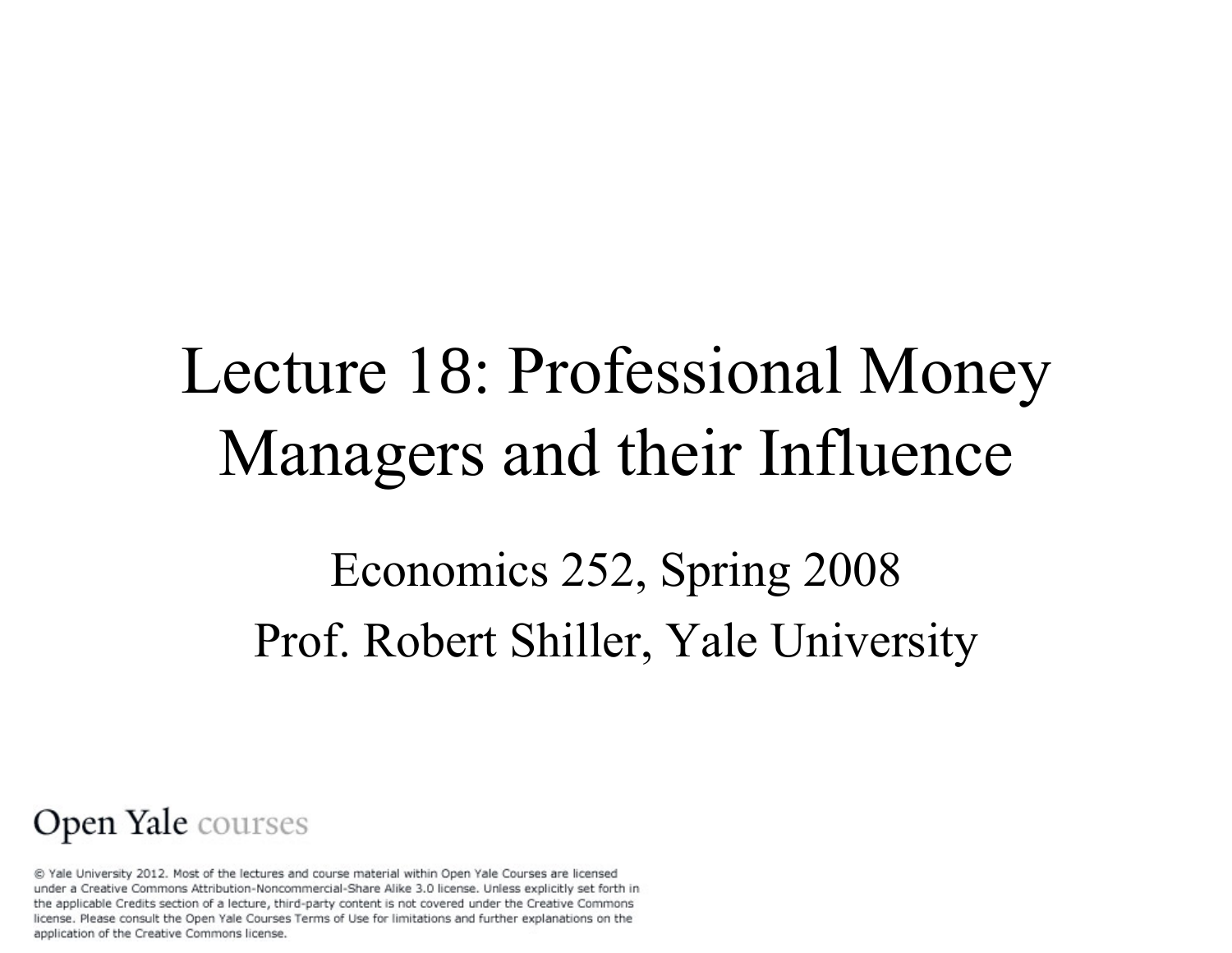# Lecture 18: Professional Money Managers and their Influence Economics 252, Spring 2008 Prof. Robert Shiller, Yale University

#### Open Yale courses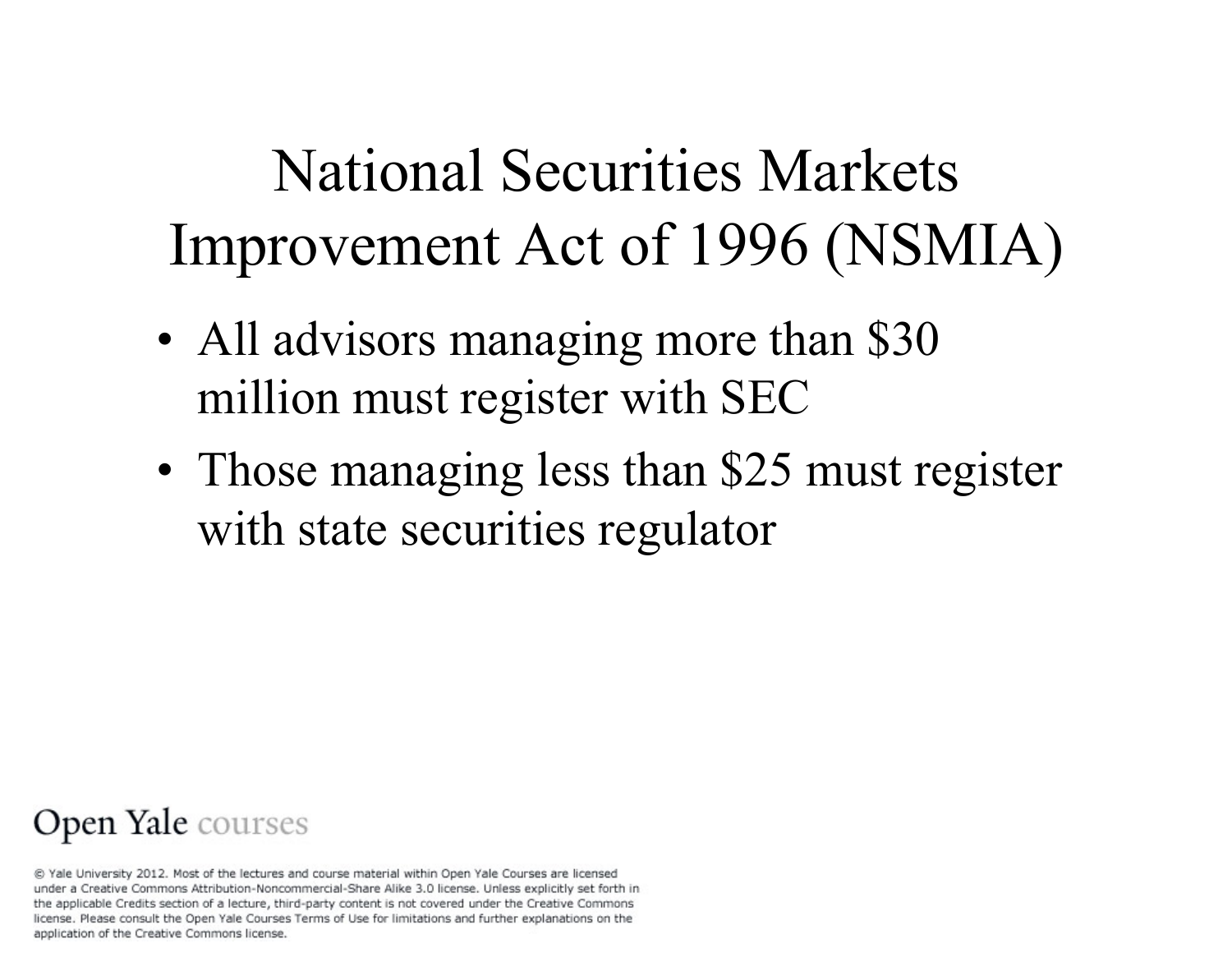## National Securities Markets Improvement Act of 1996 (NSMIA)

- All advisors managing more than \$30 million must register with SEC
- Those managing less than \$25 must register with state securities regulator

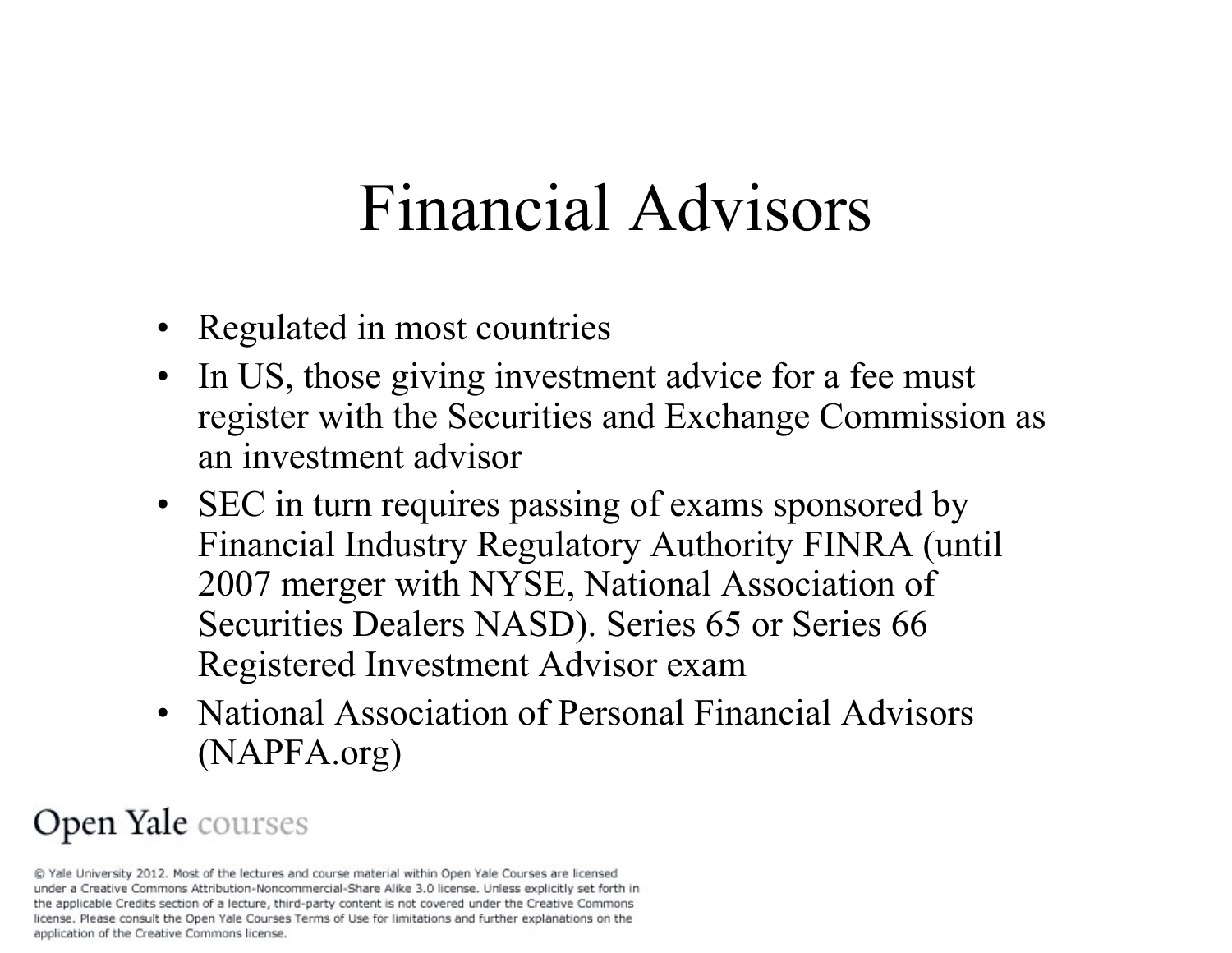## Financial Advisors

- Regulated in most countries
- In US, those giving investment advice for a fee must register with the Securities and Exchange Commission as an investment advisor
- SEC in turn requires passing of exams sponsored by Financial Industry Regulatory Authority FINRA (until 2007 merger with NYSE, National Association of Securities Dealers NASD). Series 65 or Series 66 Registered Investment Advisor exam
- National Association of Personal Financial Advisors (NAPFA.org)

#### Open Yale courses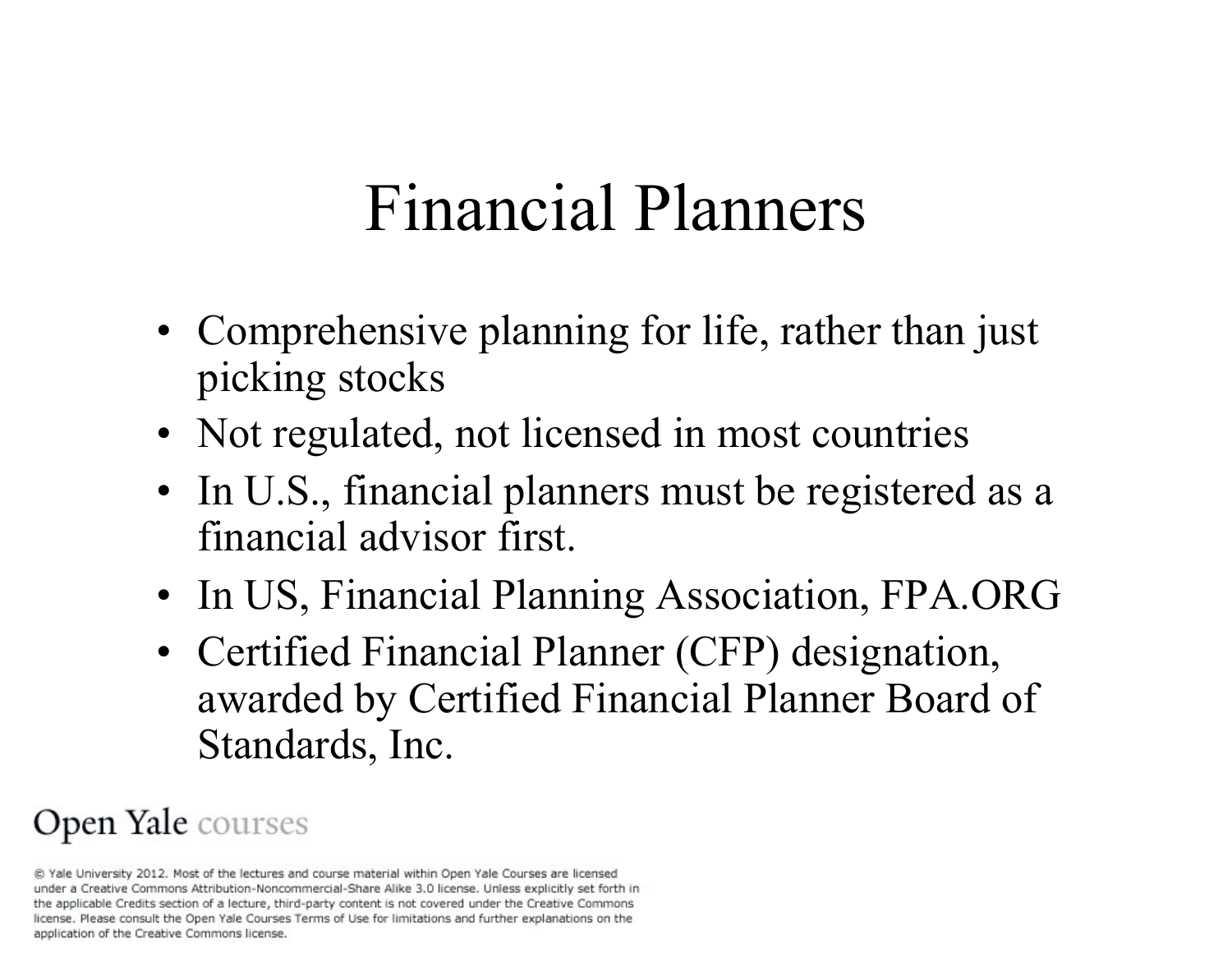# Financial Planners

- Comprehensive planning for life, rather than just picking stocks
- Not regulated, not licensed in most countries
- In U.S., financial planners must be registered as a financial advisor first.
- In US, Financial Planning Association, FPA.ORG
- Certified Financial Planner (CFP) designation, awarded by Certified Financial Planner Board of Standards, Inc.

### Open Yale courses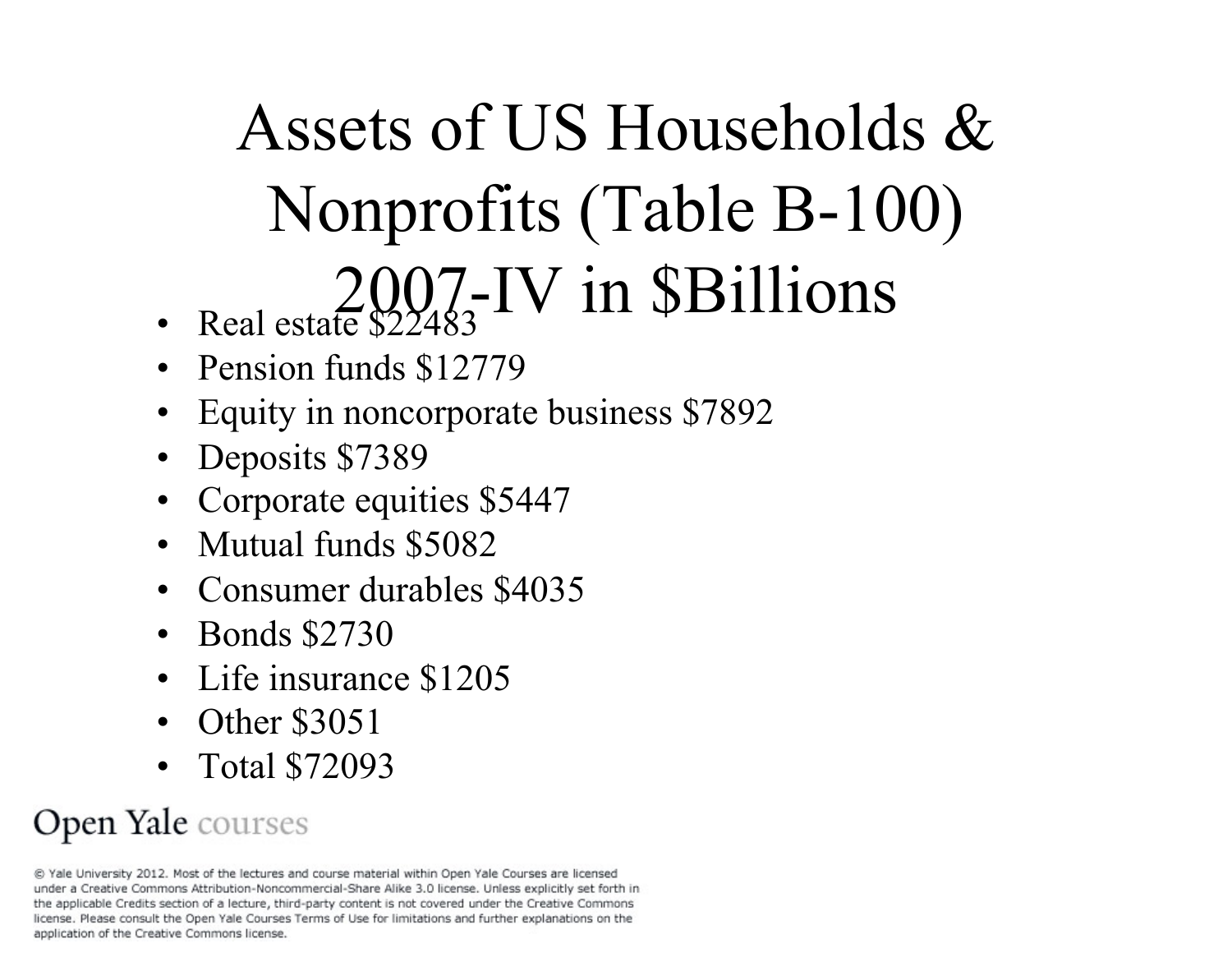# Assets of US Households & Nonprofits (Table B-100) 2007-IV in \$Billions

- Real estate \$22483
- Pension funds \$12779
- Equity in noncorporate business \$7892
- Deposits \$7389
- Corporate equities \$5447
- Mutual funds \$5082
- Consumer durables \$4035
- Bonds \$2730
- Life insurance \$1205
- Other \$3051
- Total \$72093

### Open Yale courses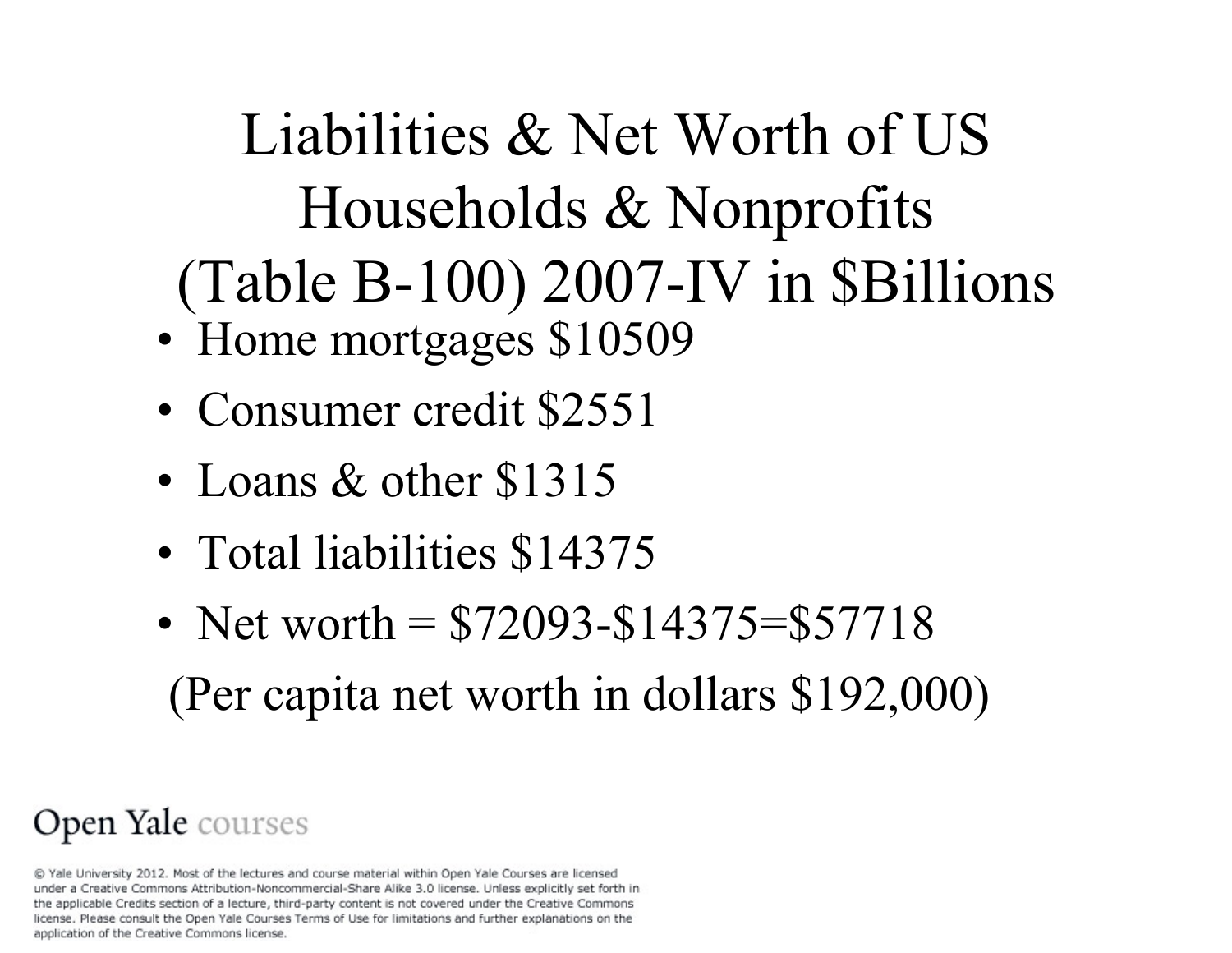Liabilities & Net Worth of US Households & Nonprofits (Table B-100) 2007-IV in \$Billions

- Home mortgages \$10509
- Consumer credit \$2551
- Loans & other \$1315
- Total liabilities \$14375
- Net worth  $= $72093 $14375 = $57718$ (Per capita net worth in dollars \$192,000)

### Open Yale courses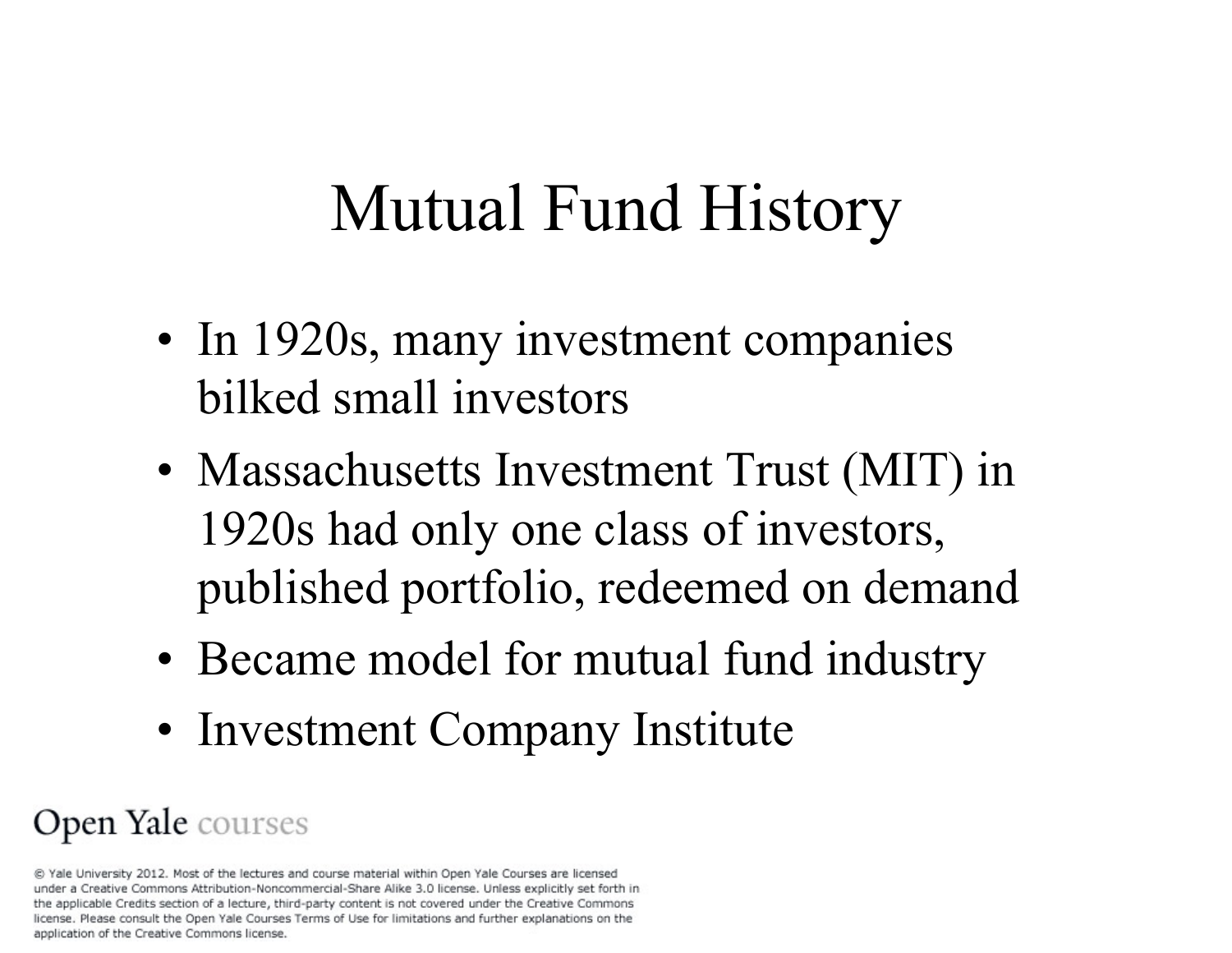## Mutual Fund History

- In 1920s, many investment companies bilked small investors
- Massachusetts Investment Trust (MIT) in 1920s had only one class of investors, published portfolio, redeemed on demand
- Became model for mutual fund industry
- Investment Company Institute

### Open Yale courses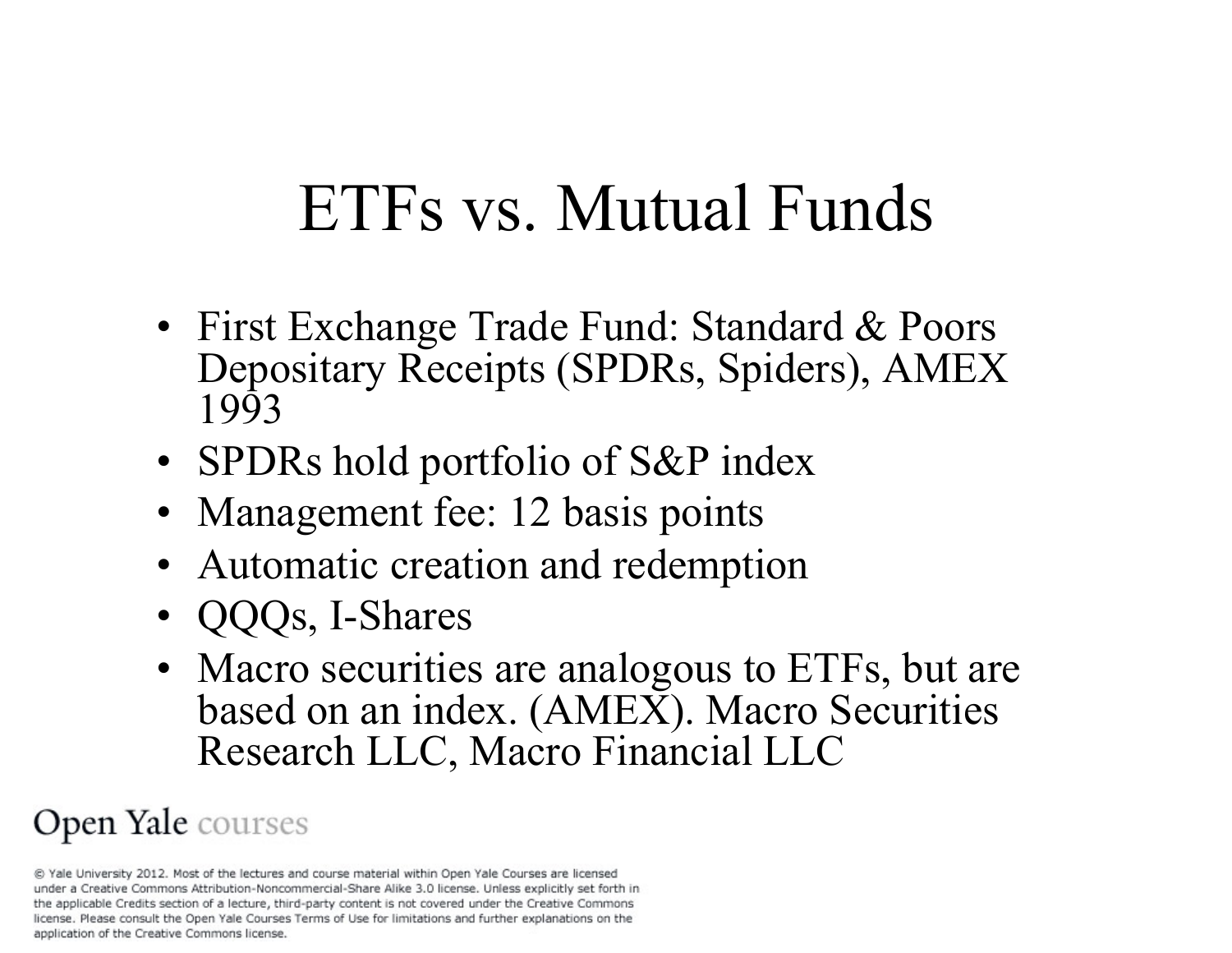# ETFs vs. Mutual Funds

- First Exchange Trade Fund: Standard & Poors Depositary Receipts (SPDRs, Spiders), AMEX 1993
- SPDRs hold portfolio of S&P index
- Management fee: 12 basis points
- Automatic creation and redemption
- QQQs, I-Shares
- Macro securities are analogous to ETFs, but are based on an index. (AMEX). Macro Securities Research LLC, Macro Financial LLC

### Open Yale courses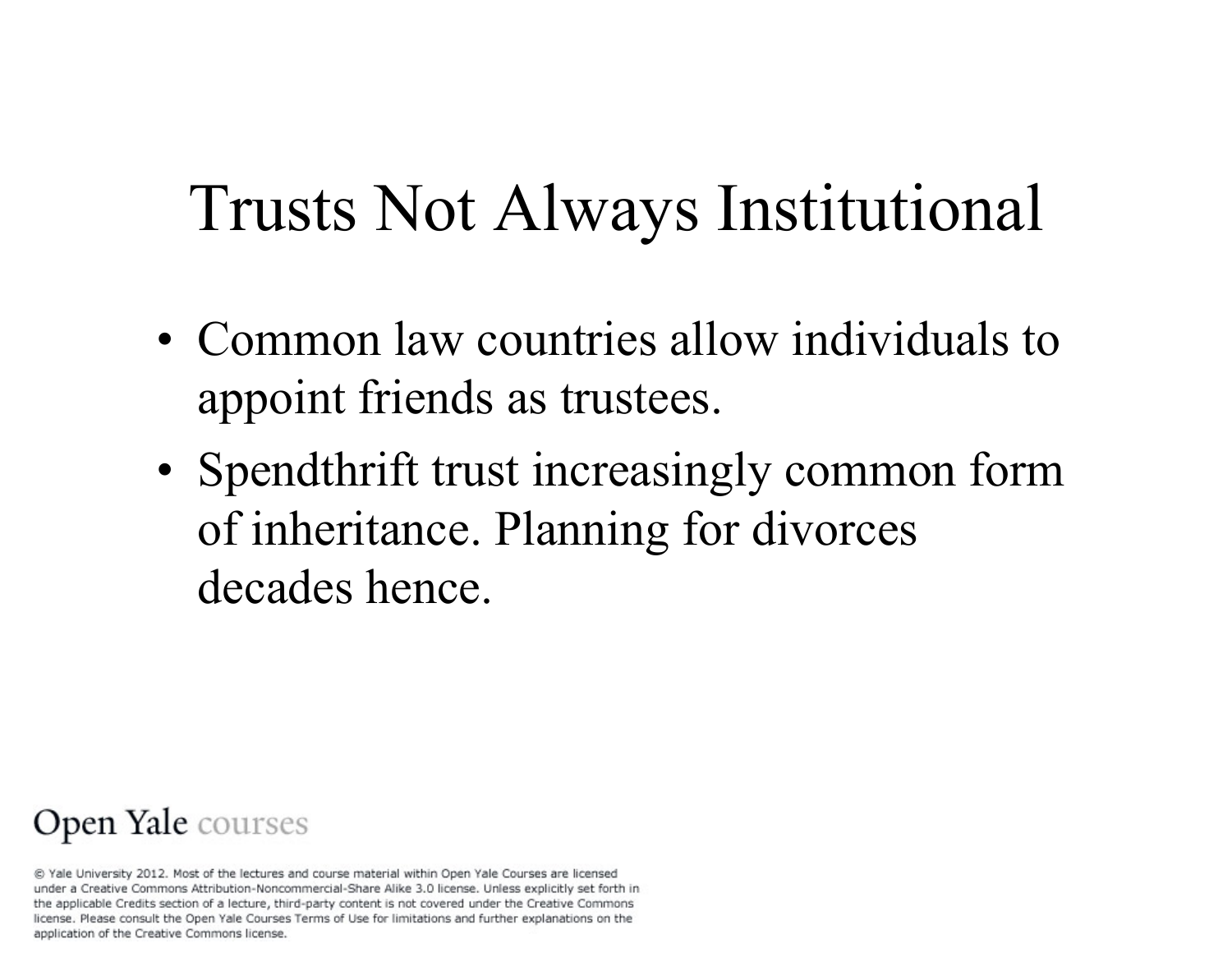## Trusts Not Always Institutional

- Common law countries allow individuals to appoint friends as trustees.
- Spendthrift trust increasingly common form of inheritance. Planning for divorces decades hence.

#### Open Yale courses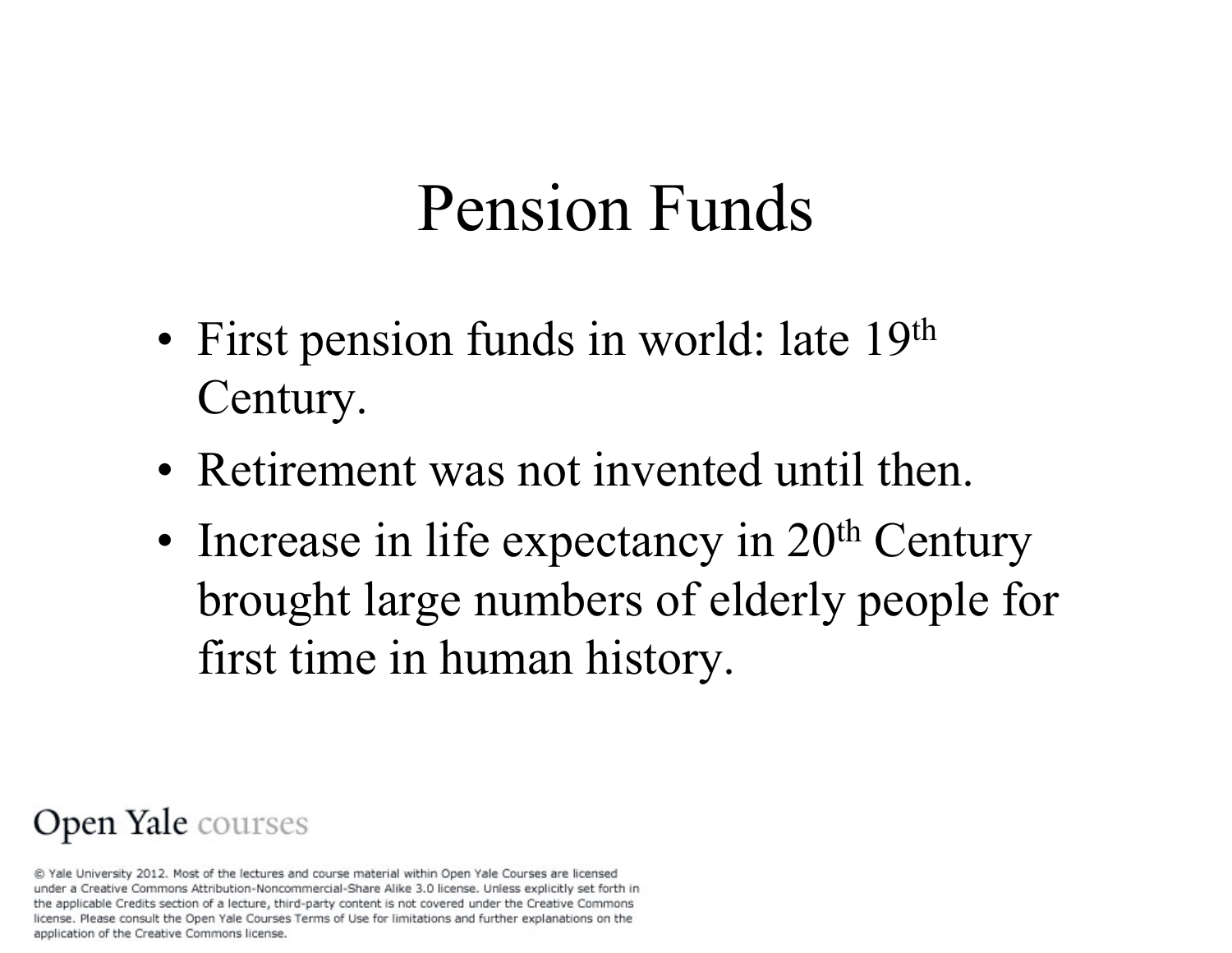## Pension Funds

- First pension funds in world: late 19<sup>th</sup> Century.
- Retirement was not invented until then.
- Increase in life expectancy in 20<sup>th</sup> Century brought large numbers of elderly people for first time in human history.

#### Open Yale courses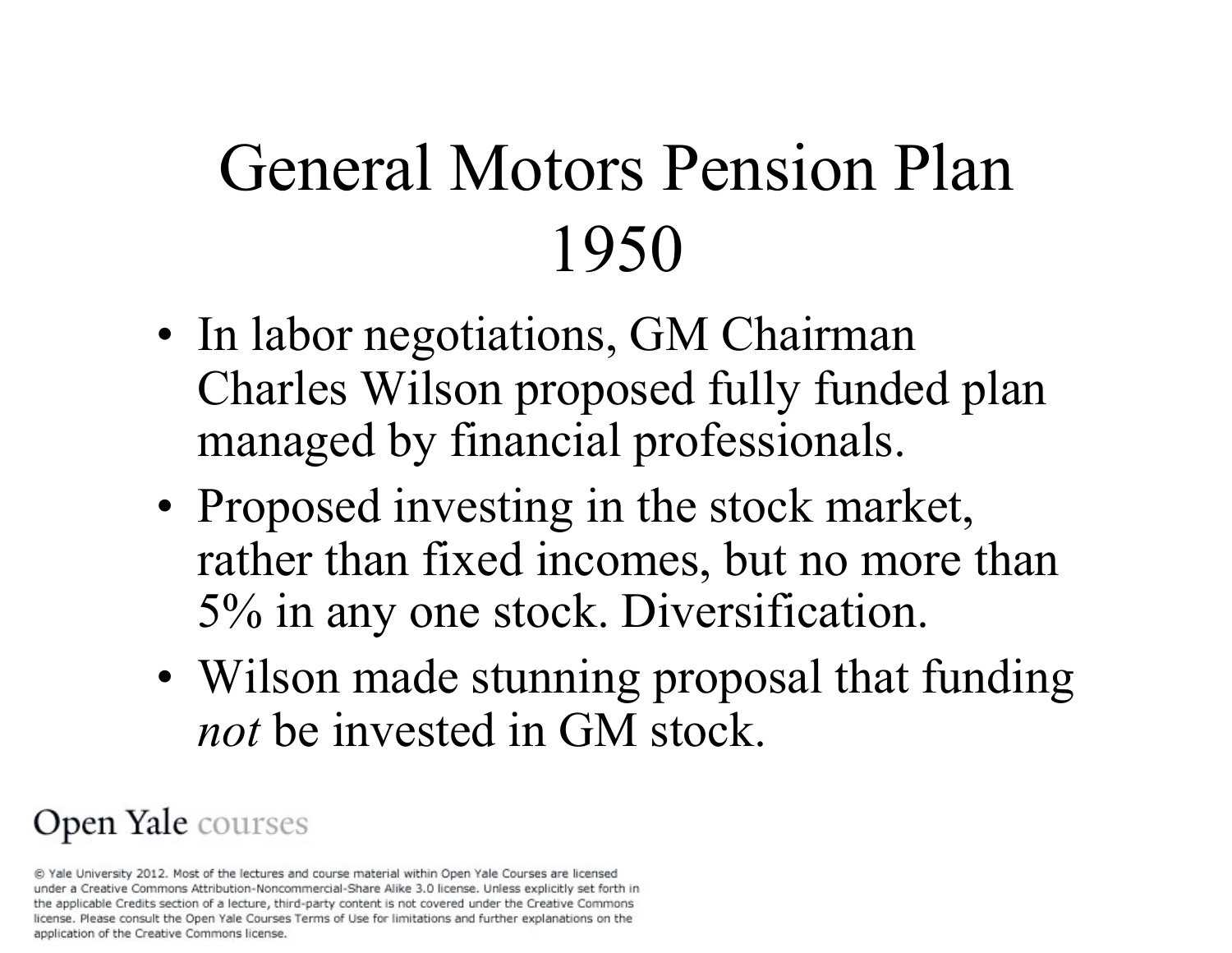# General Motors Pension Plan 1950

- In labor negotiations, GM Chairman Charles Wilson proposed fully funded plan managed by financial professionals.
- Proposed investing in the stock market, rather than fixed incomes, but no more than 5% in any one stock. Diversification.
- Wilson made stunning proposal that funding *not* be invested in GM stock.

#### Open Yale courses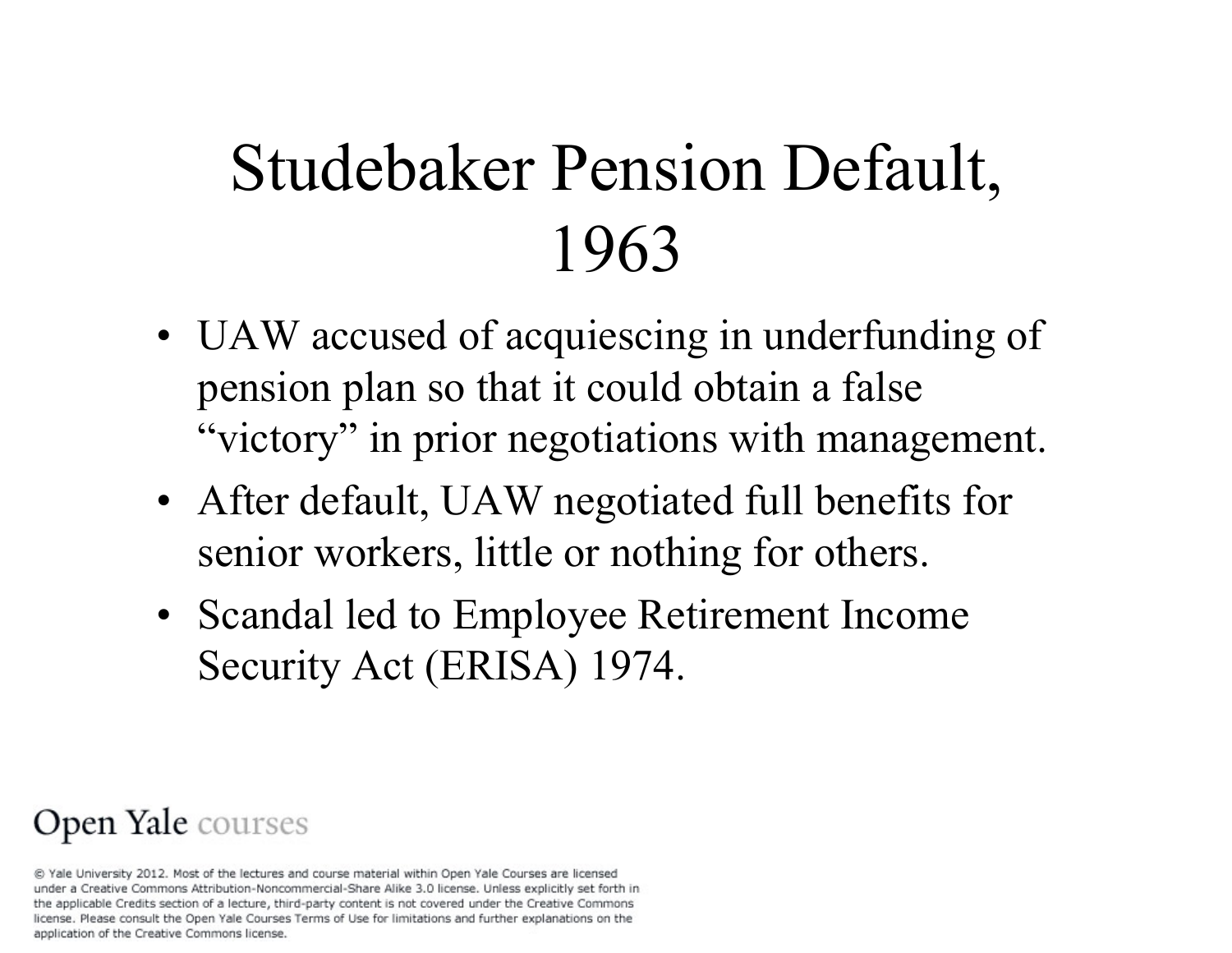# Studebaker Pension Default, 1963

- UAW accused of acquiescing in underfunding of pension plan so that it could obtain a false "victory" in prior negotiations with management.
- After default, UAW negotiated full benefits for senior workers, little or nothing for others.
- Scandal led to Employee Retirement Income Security Act (ERISA) 1974.

#### Open Yale courses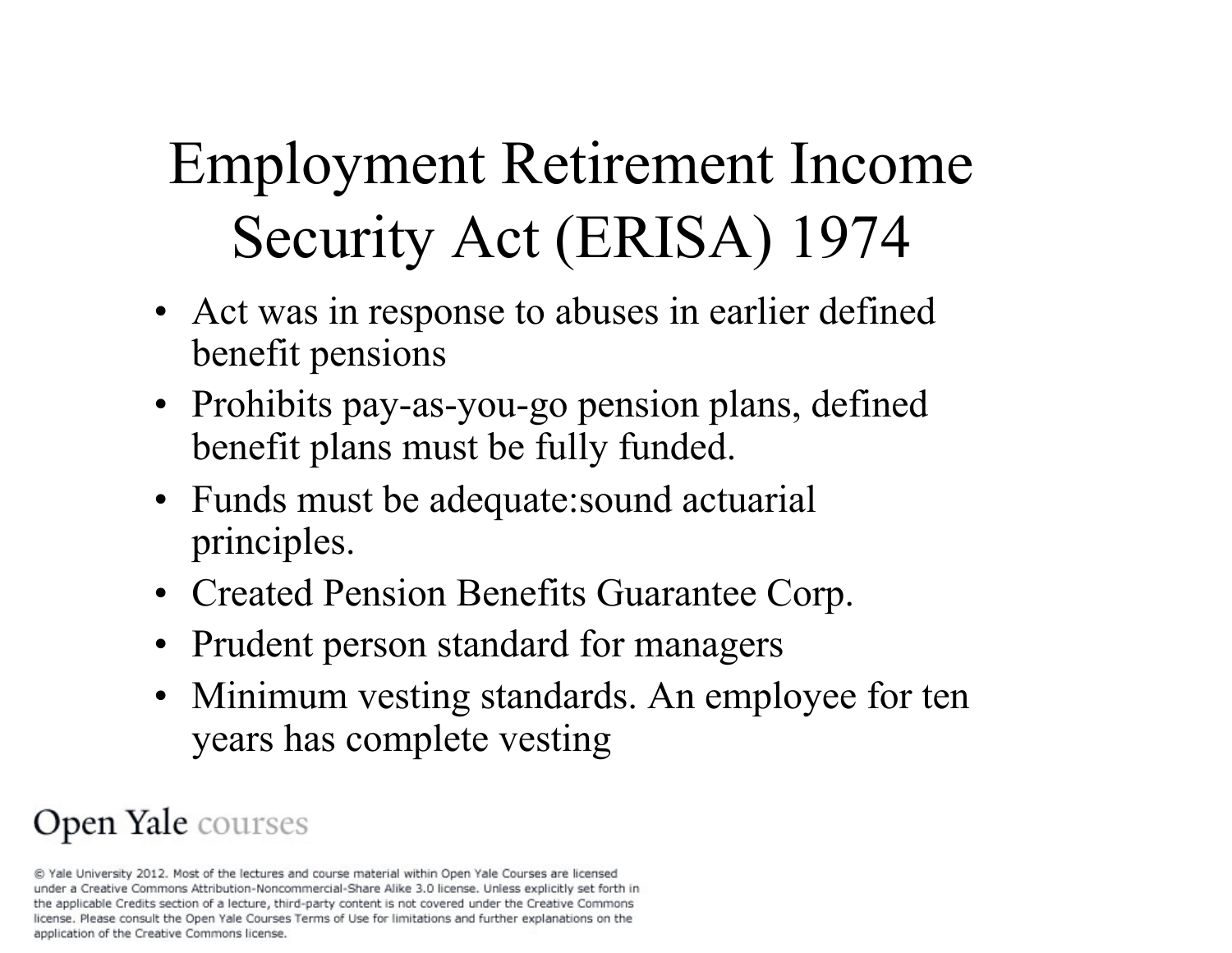# Employment Retirement Income Security Act (ERISA) 1974

- Act was in response to abuses in earlier defined benefit pensions
- Prohibits pay-as-you-go pension plans, defined benefit plans must be fully funded.
- Funds must be adequate: sound actuarial principles.
- Created Pension Benefits Guarantee Corp.
- Prudent person standard for managers
- Minimum vesting standards. An employee for ten years has complete vesting

### Open Yale courses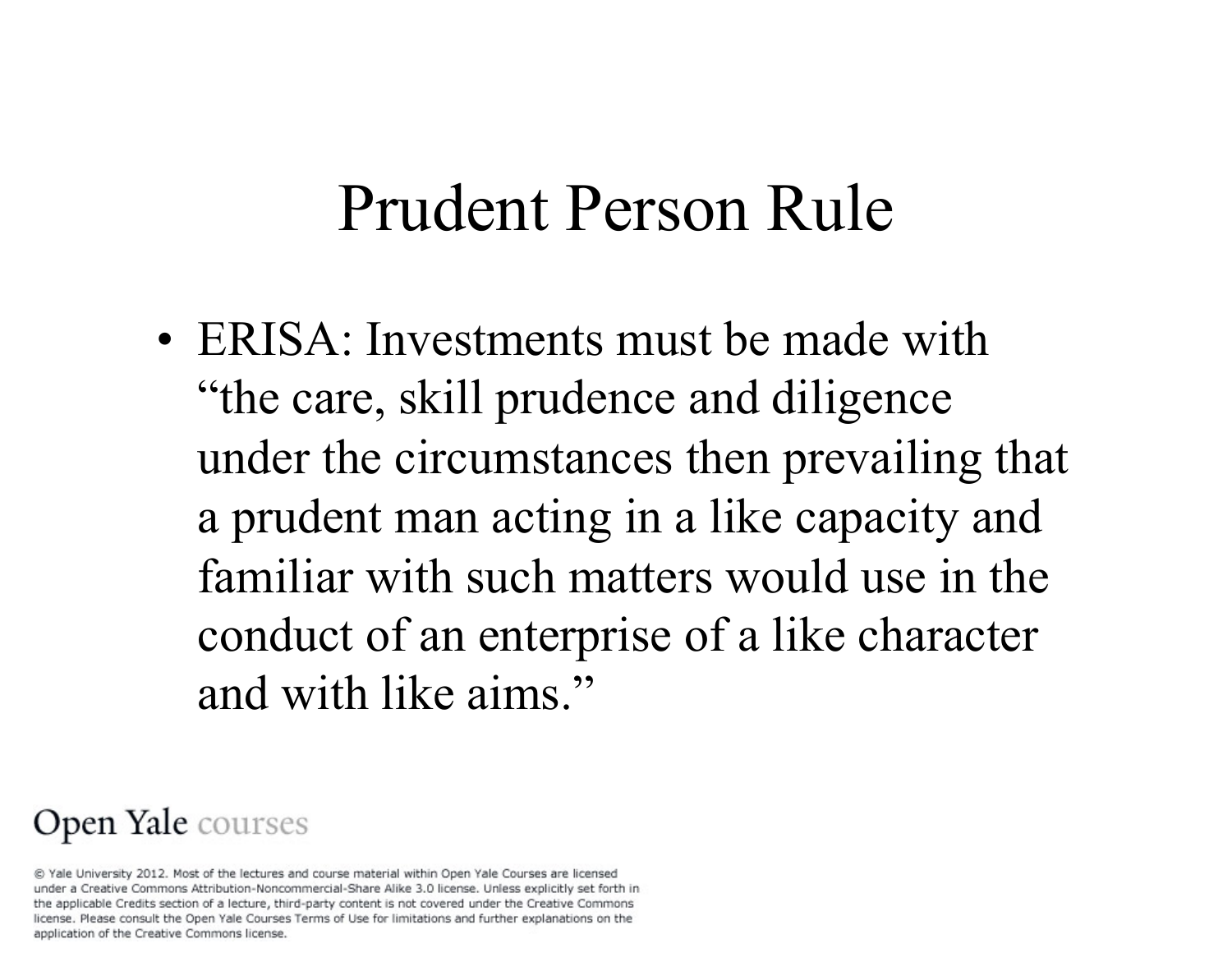### Prudent Person Rule

• ERISA: Investments must be made with "the care, skill prudence and diligence under the circumstances then prevailing that a prudent man acting in a like capacity and familiar with such matters would use in the conduct of an enterprise of a like character and with like aims."

#### Open Yale courses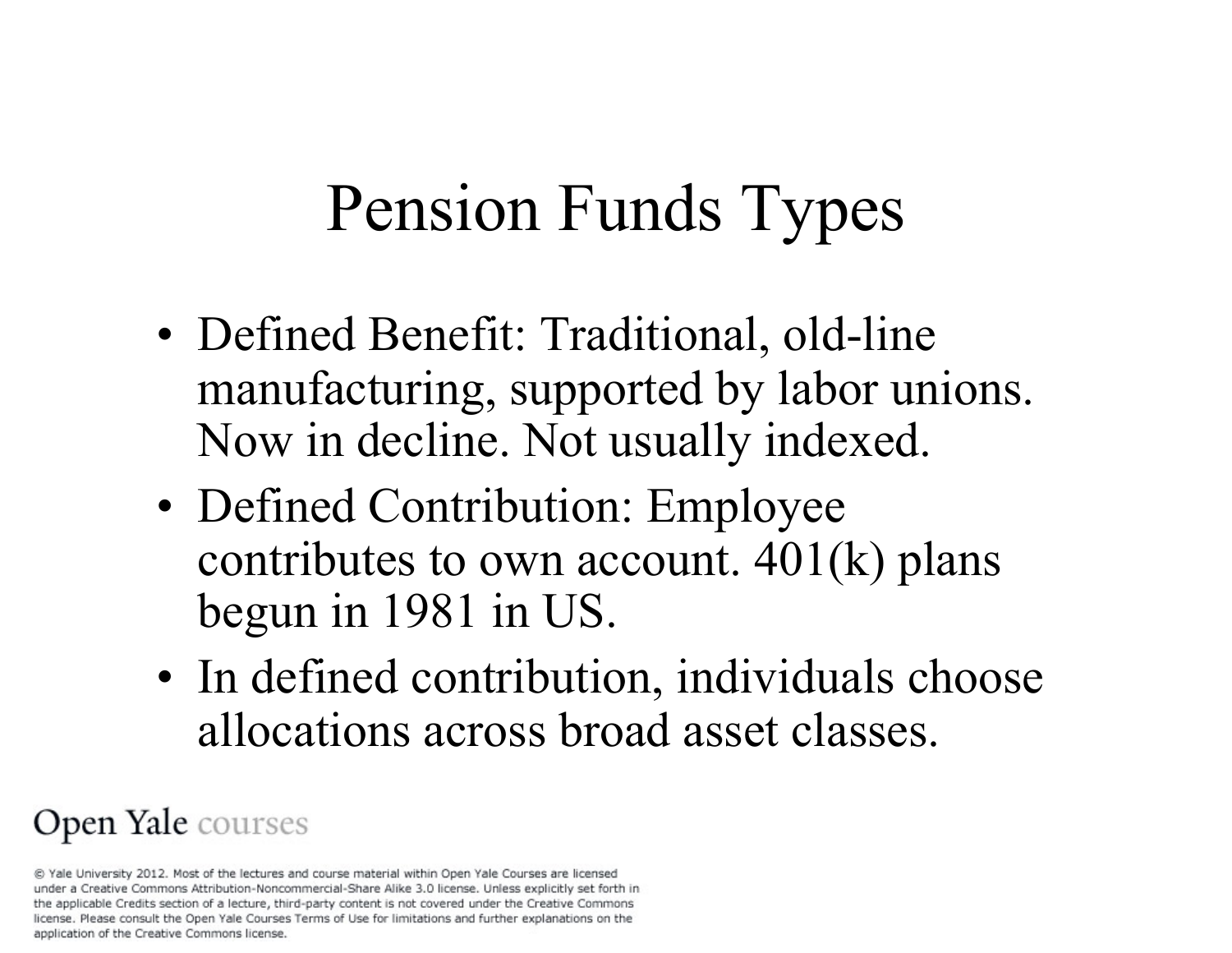# Pension Funds Types

- Defined Benefit: Traditional, old-line manufacturing, supported by labor unions. Now in decline. Not usually indexed.
- Defined Contribution: Employee contributes to own account.  $401(k)$  plans begun in 1981 in US.
- In defined contribution, individuals choose allocations across broad asset classes.

#### Open Yale courses